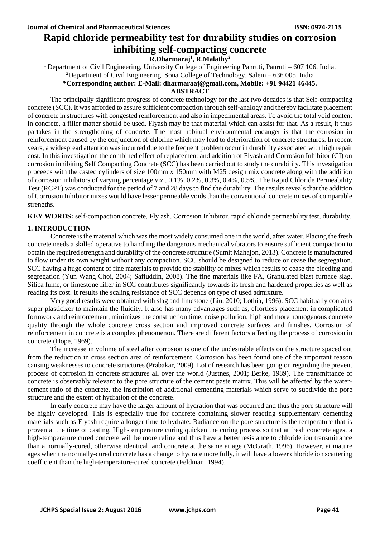# **Rapid chloride permeability test for durability studies on corrosion inhibiting self-compacting concrete R.Dharmaraj<sup>1</sup> , R.Malathy<sup>2</sup>**

<sup>1</sup> Department of Civil Engineering, University College of Engineering Panruti, Panruti – 607 106, India. <sup>2</sup>Department of Civil Engineering, Sona College of Technology, Salem –  $636\,005$ , India

#### **\*Corresponding author: E-Mail: [dharmaraaj@gmail.com,](mailto:dharmaraaj@gmail.com) Mobile: +91 94421 46445.**

#### **ABSTRACT**

The principally significant progress of concrete technology for the last two decades is that Self-compacting concrete (SCC). It was afforded to assure sufficient compaction through self-analogy and thereby facilitate placement of concrete in structures with congested reinforcement and also in impedimental areas. To avoid the total void content in concrete, a filler matter should be used. Flyash may be that material which can assist for that. As a result, it thus partakes in the strengthening of concrete. The most habitual environmental endanger is that the corrosion in reinforcement caused by the conjunction of chlorine which may lead to deterioration of concrete structures. In recent years, a widespread attention was incurred due to the frequent problem occur in durability associated with high repair cost. In this investigation the combined effect of replacement and addition of Flyash and Corrosion Inhibitor (CI) on corrosion inhibiting Self Compacting Concrete (SCC) has been carried out to study the durability. This investigation proceeds with the casted cylinders of size 100mm x 150mm with M25 design mix concrete along with the addition of corrosion inhibitors of varying percentage viz., 0.1%, 0.2%, 0.3%, 0.4%, 0.5%. The Rapid Chloride Permeability Test (RCPT) was conducted for the period of 7 and 28 days to find the durability. The results reveals that the addition of Corrosion Inhibitor mixes would have lesser permeable voids than the conventional concrete mixes of comparable strengths.

**KEY WORDS:** self-compaction concrete, Fly ash, Corrosion Inhibitor, rapid chloride permeability test, durability.

## **1. INTRODUCTION**

Concrete is the material which was the most widely consumed one in the world, after water. Placing the fresh concrete needs a skilled operative to handling the dangerous mechanical vibrators to ensure sufficient compaction to obtain the required strength and durability of the concrete structure (Sumit Mahajon, 2013). Concrete is manufactured to flow under its own weight without any compaction. SCC should be designed to reduce or cease the segregation. SCC having a huge content of fine materials to provide the stability of mixes which results to cease the bleeding and segregation (Yun Wang Choi, 2004; Safiuddin, 2008). The fine materials like FA, Granulated blast furnace slag, Silica fume, or limestone filler in SCC contributes significantly towards its fresh and hardened properties as well as reading its cost. It results the scaling resistance of SCC depends on type of used admixture.

Very good results were obtained with slag and limestone (Liu, 2010; Lothia, 1996). SCC habitually contains super plasticizer to maintain the fluidity. It also has many advantages such as, effortless placement in complicated formwork and reinforcement, minimizes the construction time, noise pollution, high and more homogenous concrete quality through the whole concrete cross section and improved concrete surfaces and finishes. Corrosion of reinforcement in concrete is a complex phenomenon. There are different factors affecting the process of corrosion in concrete (Hope, 1969).

The increase in volume of steel after corrosion is one of the undesirable effects on the structure spaced out from the reduction in cross section area of reinforcement. Corrosion has been found one of the important reason causing weaknesses to concrete structures (Prabakar, 2009). Lot of research has been going on regarding the prevent process of corrosion in concrete structures all over the world (Justnes, 2001; Berke, 1989). The transmittance of concrete is observably relevant to the pore structure of the cement paste matrix. This will be affected by the watercement ratio of the concrete, the inscription of additional cementing materials which serve to subdivide the pore structure and the extent of hydration of the concrete.

In early concrete may have the larger amount of hydration that was occurred and thus the pore structure will be highly developed. This is especially true for concrete containing slower reacting supplementary cementing materials such as Flyash require a longer time to hydrate. Radiance on the pore structure is the temperature that is proven at the time of casting. High-temperature curing quicken the curing process so that at fresh concrete ages, a high-temperature cured concrete will be more refine and thus have a better resistance to chloride ion transmittance than a normally-cured, otherwise identical, and concrete at the same at age (McGrath, 1996). However, at mature ages when the normally-cured concrete has a change to hydrate more fully, it will have a lower chloride ion scattering coefficient than the high-temperature-cured concrete (Feldman, 1994).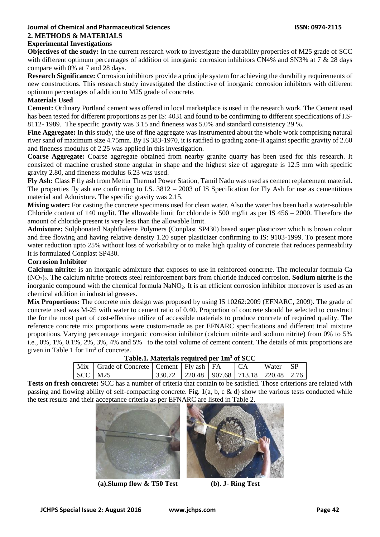#### **Journal of Chemical and Pharmaceutical Sciences ISSN: 0974-2115 2. METHODS & MATERIALS Experimental Investigations**

**Objectives of the study:** In the current research work to investigate the durability properties of M25 grade of SCC with different optimum percentages of addition of inorganic corrosion inhibitors CN4% and SN3% at 7 & 28 days compare with 0% at 7 and 28 days.

**Research Significance:** Corrosion inhibitors provide a principle system for achieving the durability requirements of new constructions. This research study investigated the distinctive of inorganic corrosion inhibitors with different optimum percentages of addition to M25 grade of concrete.

## **Materials Used**

**Cement:** Ordinary Portland cement was offered in local marketplace is used in the research work. The Cement used has been tested for different proportions as per IS: 4031 and found to be confirming to different specifications of I.S-8112- 1989. The specific gravity was 3.15 and fineness was 5.0% and standard consistency 29 %.

**Fine Aggregate:** In this study, the use of fine aggregate was instrumented about the whole work comprising natural river sand of maximum size 4.75mm. By IS 383-1970, it is ratified to grading zone-II against specific gravity of 2.60 and fineness modulus of 2.25 was applied in this investigation.

**Coarse Aggregate:** Coarse aggregate obtained from nearby granite quarry has been used for this research. It consisted of machine crushed stone angular in shape and the highest size of aggregate is 12.5 mm with specific gravity 2.80, and fineness modulus 6.23 was used.

**Fly Ash:** Class F fly ash from Mettur Thermal Power Station, Tamil Nadu was used as cement replacement material. The properties fly ash are confirming to I.S. 3812 – 2003 of IS Specification for Fly Ash for use as cementitious material and Admixture. The specific gravity was 2.15.

**Mixing water:** For casting the concrete specimens used for clean water. Also the water has been had a water-soluble Chloride content of 140 mg/lit. The allowable limit for chloride is 500 mg/lit as per IS 456 – 2000. Therefore the amount of chloride present is very less than the allowable limit.

**Admixture:** Sulphonated Naphthalene Polymers (Conplast SP430) based super plasticizer which is brown colour and free flowing and having relative density 1.20 super plasticizer confirming to IS: 9103-1999. To present more water reduction upto 25% without loss of workability or to make high quality of concrete that reduces permeability it is formulated Conplast SP430.

## **Corrosion Inhibitor**

**Calcium nitrite:** is an inorganic admixture that exposes to use in reinforced concrete. The molecular formula Ca (NO2)2. The calcium nitrite protects steel reinforcement bars from chloride induced corrosion. **Sodium nitrite** is the inorganic compound with the chemical formula NaNO<sub>2</sub>. It is an efficient corrosion inhibitor moreover is used as an chemical addition in industrial greases.

**Mix Proportions:** The concrete mix design was proposed by using IS 10262:2009 (EFNARC, 2009). The grade of concrete used was M-25 with water to cement ratio of 0.40. Proportion of concrete should be selected to construct the for the most part of cost-effective utilize of accessible materials to produce concrete of required quality. The reference concrete mix proportions were custom-made as per EFNARC specifications and different trial mixture proportions. Varying percentage inorganic corrosion inhibitor (calcium nitrite and sodium nitrite) from 0% to 5% i.e., 0%, 1%, 0.1%, 2%, 3%, 4% and 5% to the total volume of cement content. The details of mix proportions are given in Table 1 for  $1 \text{ m}^3$  of concrete.

| Table.1. Materials required per 1m <sup>3</sup> of SCC |  |  |  |      |          |  |
|--------------------------------------------------------|--|--|--|------|----------|--|
| Mix   Grade of Concrete   Cement   Fly ash   FA        |  |  |  | I CA | Water SP |  |

SCC | M25 330.72 | 220.48 | 907.68 | 713.18 | 220.48 | 2.76 **Tests on fresh concrete:** SCC has a number of criteria that contain to be satisfied. Those criterions are related with passing and flowing ability of self-compacting concrete. Fig. 1(a, b, c & d) show the various tests conducted while the test results and their acceptance criteria as per EFNARC are listed in Table 2.



**(a).Slump flow & T50 Test (b). J- Ring Test**

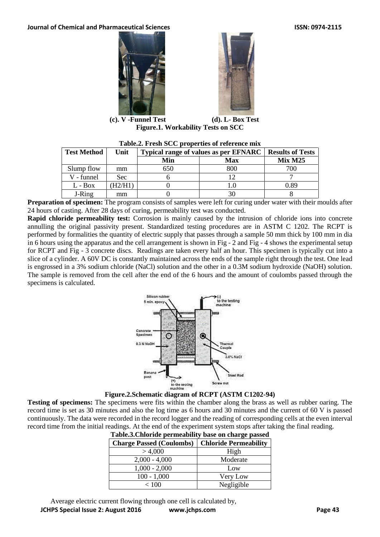**Journal of Chemical and Pharmaceutical Sciences ISSN: 0974-2115** 





**(c). V -Funnel Test (d). L- Box Test Figure.1. Workability Tests on SCC**

| Table.2. Fresh SCC properties of reference mix |        |                                       |                         |         |  |  |
|------------------------------------------------|--------|---------------------------------------|-------------------------|---------|--|--|
| <b>Test Method</b>                             | Unit   | Typical range of values as per EFNARC | <b>Results of Tests</b> |         |  |  |
|                                                |        | Min                                   | Max                     | Mix M25 |  |  |
| Slump flow                                     | mm     | 650                                   | 800                     | 700     |  |  |
| V - funnel                                     | Sec:   |                                       |                         |         |  |  |
| $L - Box$                                      | H2/H1) |                                       |                         | 0.89    |  |  |
| J-Ring                                         | mm     |                                       |                         |         |  |  |

**Preparation of specimen:** The program consists of samples were left for curing under water with their moulds after 24 hours of casting. After 28 days of curing, permeability test was conducted.

**Rapid chloride permeability test:** Corrosion is mainly caused by the intrusion of chloride ions into concrete annulling the original passivity present. Standardized testing procedures are in ASTM C 1202. The RCPT is performed by formalities the quantity of electric supply that passes through a sample 50 mm thick by 100 mm in dia in 6 hours using the apparatus and the cell arrangement is shown in Fig - 2 and Fig - 4 shows the experimental setup for RCPT and Fig - 3 concrete discs. Readings are taken every half an hour. This specimen is typically cut into a slice of a cylinder. A 60V DC is constantly maintained across the ends of the sample right through the test. One lead is engrossed in a 3% sodium chloride (NaCl) solution and the other in a 0.3M sodium hydroxide (NaOH) solution. The sample is removed from the cell after the end of the 6 hours and the amount of coulombs passed through the specimens is calculated.





**Testing of specimens:** The specimens were fits within the chamber along the brass as well as rubber oaring. The record time is set as 30 minutes and also the log time as 6 hours and 30 minutes and the current of 60 V is passed continuously. The data were recorded in the record logger and the reading of corresponding cells at the even interval record time from the initial readings. At the end of the experiment system stops after taking the final reading.

| Table.3. Chloride permeability base on charge passed |                              |  |  |
|------------------------------------------------------|------------------------------|--|--|
| <b>Charge Passed (Coulombs)</b>                      | <b>Chloride Permeability</b> |  |  |
| > 4,000                                              | High                         |  |  |
| $2,000 - 4,000$                                      | Moderate                     |  |  |
| $1,000 - 2,000$                                      | Low                          |  |  |
| $100 - 1,000$                                        | Very Low                     |  |  |
| < 100                                                | Negligible                   |  |  |

Average electric current flowing through one cell is calculated by,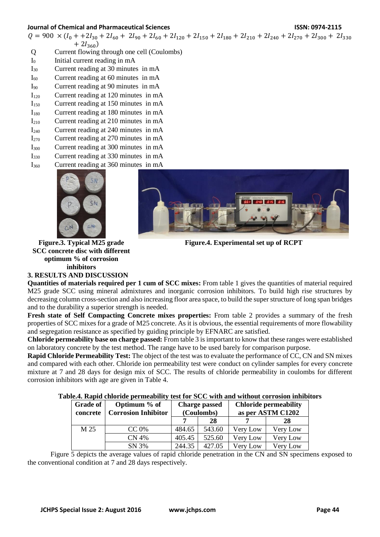#### **Journal of Chemical and Pharmaceutical Sciences ISSN: 0974-2115**

 $Q = 900 \times (I_0 + 2I_{30} + 2I_{60} + 2I_{90} + 2I_{60} + 2I_{120} + 2I_{150} + 2I_{180} + 2I_{210} + 2I_{240} + 2I_{270} + 2I_{300} + 2I_{330}$  $+ 2I_{360}$ 

- Q Current flowing through one cell (Coulombs)
- I<sub>0</sub> Initial current reading in mA
- I<sup>30</sup> Current reading at 30 minutes in mA
- $I_{60}$  Current reading at 60 minutes in mA
- I<sup>90</sup> Current reading at 90 minutes in mA
- I<sup>120</sup> Current reading at 120 minutes in mA
- $I<sub>150</sub>$  Current reading at 150 minutes in mA
- I<sup>180</sup> Current reading at 180 minutes in mA
- I<sup>210</sup> Current reading at 210 minutes in mA
- I<sup>240</sup> Current reading at 240 minutes in mA
- $I_{270}$  Current reading at 270 minutes in mA
- I<sup>300</sup> Current reading at 300 minutes in mA
- I<sup>330</sup> Current reading at 330 minutes in mA I<sup>360</sup> Current reading at 360 minutes in mA





**Figure.4. Experimental set up of RCPT**

**Figure.3. Typical M25 grade SCC concrete disc with different optimum % of corrosion inhibitors**

**3. RESULTS AND DISCUSSION**

**Quantities of materials required per 1 cum of SCC mixes:** From table 1 gives the quantities of material required M25 grade SCC using mineral admixtures and inorganic corrosion inhibitors. To build high rise structures by decreasing column cross-section and also increasing floor area space, to build the super structure of long span bridges and to the durability a superior strength is needed.

**Fresh state of Self Compacting Concrete mixes properties:** From table 2 provides a summary of the fresh properties of SCC mixes for a grade of M25 concrete. As it is obvious, the essential requirements of more flowability and segregation resistance as specified by guiding principle by EFNARC are satisfied.

**Chloride permeability base on charge passed:** From table 3 is important to know that these ranges were established on laboratory concrete by the test method. The range have to be used barely for comparison purpose.

**Rapid Chloride Permeability Test:** The object of the test was to evaluate the performance of CC, CN and SN mixes and compared with each other. Chloride ion permeability test were conduct on cylinder samples for every concrete mixture at 7 and 28 days for design mix of SCC. The results of chloride permeability in coulombs for different corrosion inhibitors with age are given in Table 4.

| Grade of<br>concrete | Optimum % of<br><b>Corrosion Inhibitor</b> | <b>Charge passed</b><br>(Coulombs) |        | <b>Chloride permeability</b><br>as per ASTM C1202 |          |
|----------------------|--------------------------------------------|------------------------------------|--------|---------------------------------------------------|----------|
|                      |                                            |                                    | 28     |                                                   | 28       |
| M 25                 | CC 0%                                      | 484.65                             | 543.60 | Very Low                                          | Very Low |
|                      | <b>CN 4%</b>                               | 405.45                             | 525.60 | Very Low                                          | Very Low |
|                      | SN 3%                                      | 244.35                             | 427.05 | Very Low                                          | Very Low |

#### **Table.4. Rapid chloride permeability test for SCC with and without corrosion inhibitors**

Figure 5 depicts the average values of rapid chloride penetration in the CN and SN specimens exposed to the conventional condition at 7 and 28 days respectively.